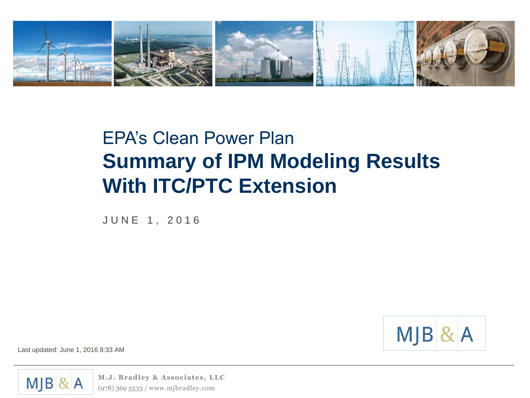

# EPA's Clean Power Plan **Summary of IPM Modeling Results With ITC/PTC Extension**

J U N E 1 , 2 0 1 6



Last updated: June 1, 2016 8:33 AM



**M.J. Bradley & Associates, LLC** (978) 369 5533 / www.mjbradley.com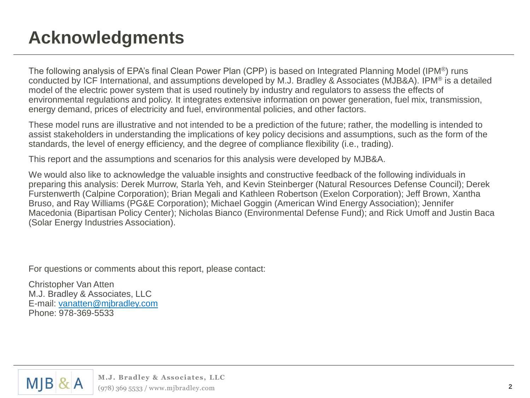# **Acknowledgments**

The following analysis of EPA's final Clean Power Plan (CPP) is based on Integrated Planning Model (IPM®) runs conducted by ICF International, and assumptions developed by M.J. Bradley & Associates (MJB&A). IPM® is a detailed model of the electric power system that is used routinely by industry and regulators to assess the effects of environmental regulations and policy. It integrates extensive information on power generation, fuel mix, transmission, energy demand, prices of electricity and fuel, environmental policies, and other factors.

These model runs are illustrative and not intended to be a prediction of the future; rather, the modelling is intended to assist stakeholders in understanding the implications of key policy decisions and assumptions, such as the form of the standards, the level of energy efficiency, and the degree of compliance flexibility (i.e., trading).

This report and the assumptions and scenarios for this analysis were developed by MJB&A.

We would also like to acknowledge the valuable insights and constructive feedback of the following individuals in preparing this analysis: Derek Murrow, Starla Yeh, and Kevin Steinberger (Natural Resources Defense Council); Derek Furstenwerth (Calpine Corporation); Brian Megali and Kathleen Robertson (Exelon Corporation); Jeff Brown, Xantha Bruso, and Ray Williams (PG&E Corporation); Michael Goggin (American Wind Energy Association); Jennifer Macedonia (Bipartisan Policy Center); Nicholas Bianco (Environmental Defense Fund); and Rick Umoff and Justin Baca (Solar Energy Industries Association).

For questions or comments about this report, please contact:

Christopher Van Atten M.J. Bradley & Associates, LLC E-mail: [vanatten@mjbradley.com](mailto:vanatten@mjbradley.com) Phone: 978-369-5533

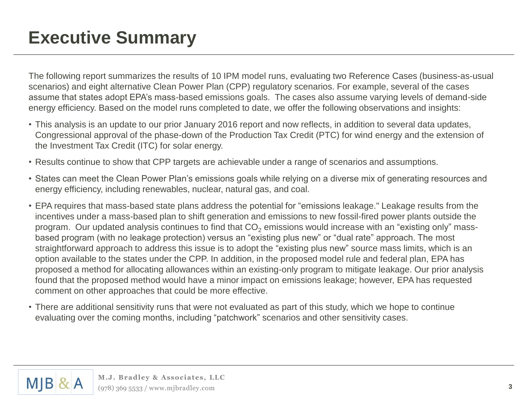### **Executive Summary**

The following report summarizes the results of 10 IPM model runs, evaluating two Reference Cases (business-as-usual scenarios) and eight alternative Clean Power Plan (CPP) regulatory scenarios. For example, several of the cases assume that states adopt EPA's mass-based emissions goals. The cases also assume varying levels of demand-side energy efficiency. Based on the model runs completed to date, we offer the following observations and insights:

- This analysis is an update to our prior January 2016 report and now reflects, in addition to several data updates, Congressional approval of the phase-down of the Production Tax Credit (PTC) for wind energy and the extension of the Investment Tax Credit (ITC) for solar energy.
- Results continue to show that CPP targets are achievable under a range of scenarios and assumptions.
- States can meet the Clean Power Plan's emissions goals while relying on a diverse mix of generating resources and energy efficiency, including renewables, nuclear, natural gas, and coal.
- EPA requires that mass-based state plans address the potential for "emissions leakage." Leakage results from the incentives under a mass-based plan to shift generation and emissions to new fossil-fired power plants outside the program. Our updated analysis continues to find that  $CO<sub>2</sub>$  emissions would increase with an "existing only" massbased program (with no leakage protection) versus an "existing plus new" or "dual rate" approach. The most straightforward approach to address this issue is to adopt the "existing plus new" source mass limits, which is an option available to the states under the CPP. In addition, in the proposed model rule and federal plan, EPA has proposed a method for allocating allowances within an existing-only program to mitigate leakage. Our prior analysis found that the proposed method would have a minor impact on emissions leakage; however, EPA has requested comment on other approaches that could be more effective.
- There are additional sensitivity runs that were not evaluated as part of this study, which we hope to continue evaluating over the coming months, including "patchwork" scenarios and other sensitivity cases.

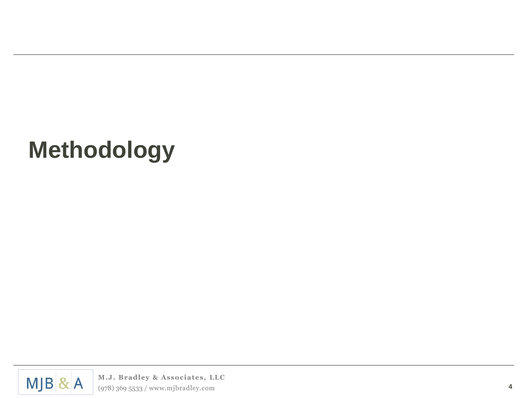# **Methodology**

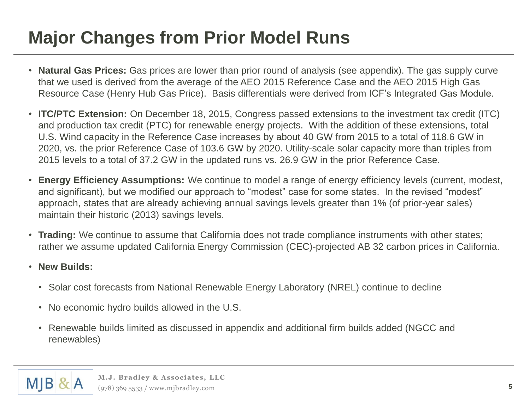# **Major Changes from Prior Model Runs**

- **Natural Gas Prices:** Gas prices are lower than prior round of analysis (see appendix). The gas supply curve that we used is derived from the average of the AEO 2015 Reference Case and the AEO 2015 High Gas Resource Case (Henry Hub Gas Price). Basis differentials were derived from ICF's Integrated Gas Module.
- **ITC/PTC Extension:** On December 18, 2015, Congress passed extensions to the investment tax credit (ITC) and production tax credit (PTC) for renewable energy projects. With the addition of these extensions, total U.S. Wind capacity in the Reference Case increases by about 40 GW from 2015 to a total of 118.6 GW in 2020, vs. the prior Reference Case of 103.6 GW by 2020. Utility-scale solar capacity more than triples from 2015 levels to a total of 37.2 GW in the updated runs vs. 26.9 GW in the prior Reference Case.
- **Energy Efficiency Assumptions:** We continue to model a range of energy efficiency levels (current, modest, and significant), but we modified our approach to "modest" case for some states. In the revised "modest" approach, states that are already achieving annual savings levels greater than 1% (of prior-year sales) maintain their historic (2013) savings levels.
- **Trading:** We continue to assume that California does not trade compliance instruments with other states; rather we assume updated California Energy Commission (CEC)-projected AB 32 carbon prices in California.
- **New Builds:**
	- Solar cost forecasts from National Renewable Energy Laboratory (NREL) continue to decline
	- No economic hydro builds allowed in the U.S.
	- Renewable builds limited as discussed in appendix and additional firm builds added (NGCC and renewables)

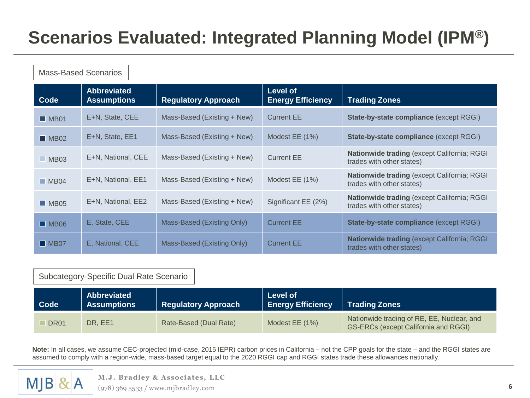# **Scenarios Evaluated: Integrated Planning Model (IPM®)**

| Code                | <b>Abbreviated</b><br><b>Assumptions</b> | <b>Regulatory Approach</b>  | Level of<br><b>Energy Efficiency</b> | <b>Trading Zones</b>                                                            |
|---------------------|------------------------------------------|-----------------------------|--------------------------------------|---------------------------------------------------------------------------------|
| $M$ MB01            | E+N, State, CEE                          | Mass-Based (Existing + New) | <b>Current EE</b>                    | <b>State-by-state compliance (except RGGI)</b>                                  |
| $M_{B02}$           | E+N, State, EE1                          | Mass-Based (Existing + New) | Modest EE (1%)                       | State-by-state compliance (except RGGI)                                         |
| $M_{B03}$           | E+N, National, CEE                       | Mass-Based (Existing + New) | <b>Current EE</b>                    | Nationwide trading (except California; RGGI<br>trades with other states)        |
| MBO4                | E+N, National, EE1                       | Mass-Based (Existing + New) | Modest EE (1%)                       | <b>Nationwide trading (except California; RGGI</b><br>trades with other states) |
| $M_{B05}$           | E+N, National, EE2                       | Mass-Based (Existing + New) | Significant EE (2%)                  | <b>Nationwide trading (except California; RGGI</b><br>trades with other states) |
| $\blacksquare$ MB06 | E, State, CEE                            | Mass-Based (Existing Only)  | <b>Current EE</b>                    | State-by-state compliance (except RGGI)                                         |
| $M_{B07}$           | E, National, CEE                         | Mass-Based (Existing Only)  | <b>Current EE</b>                    | Nationwide trading (except California; RGGI<br>trades with other states)        |

#### Subcategory-Specific Dual Rate Scenario

| <b>Code</b>         | Abbreviated<br><b>Assumptions</b> | Regulatory Approach    | <b>Level of</b><br><b>Energy Efficiency</b> | <b>Trading Zones</b>                                                                      |
|---------------------|-----------------------------------|------------------------|---------------------------------------------|-------------------------------------------------------------------------------------------|
| $\blacksquare$ DR01 | DR. EE1                           | Rate-Based (Dual Rate) | Modest EE (1%)                              | Nationwide trading of RE, EE, Nuclear, and<br><b>GS-ERCs (except California and RGGI)</b> |

**Note:** In all cases, we assume CEC-projected (mid-case, 2015 IEPR) carbon prices in California – not the CPP goals for the state – and the RGGI states are assumed to comply with a region-wide, mass-based target equal to the 2020 RGGI cap and RGGI states trade these allowances nationally.



**M.J. Bradley & Associates, LLC** (978) 369 5533 / www.mjbradley.com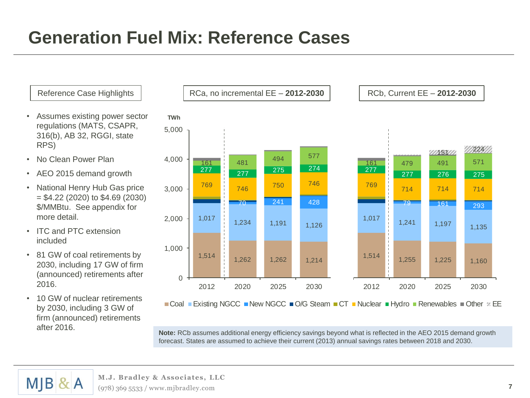# **Generation Fuel Mix: Reference Cases**

- Assumes existing power sector regulations (MATS, CSAPR, 316(b), AB 32, RGGI, state RPS)
- No Clean Power Plan
- AEO 2015 demand growth
- National Henry Hub Gas price = \$4.22 (2020) to \$4.69 (2030) \$/MMBtu. See appendix for more detail.
- ITC and PTC extension included
- 81 GW of coal retirements by 2030, including 17 GW of firm (announced) retirements after 2016.
- 10 GW of nuclear retirements by 2030, including 3 GW of firm (announced) retirements after 2016.



 $\blacksquare$ Coal  $\blacksquare$  Existing NGCC  $\blacksquare$  New NGCC  $\blacksquare$  O/G Steam  $\blacksquare$  CT  $\blacksquare$  Nuclear  $\blacksquare$  Hydro  $\blacksquare$  Renewables  $\blacksquare$  Other  $\mathfrak{B}$  EE

**Note:** RCb assumes additional energy efficiency savings beyond what is reflected in the AEO 2015 demand growth forecast. States are assumed to achieve their current (2013) annual savings rates between 2018 and 2030.

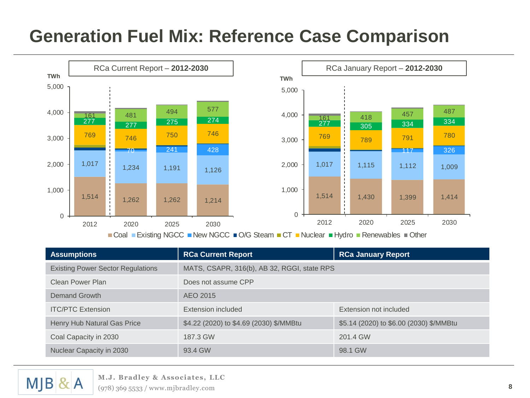### **Generation Fuel Mix: Reference Case Comparison**



|                                                                                                                   | 1,514                                                                  | 1,262                                    | 1,262 | 1,214                                                  | 0                                                                                         | 1,514 |          | 1,430 | 1,399 | 1,414 |
|-------------------------------------------------------------------------------------------------------------------|------------------------------------------------------------------------|------------------------------------------|-------|--------------------------------------------------------|-------------------------------------------------------------------------------------------|-------|----------|-------|-------|-------|
| $\mathbf 0$                                                                                                       | 2012                                                                   | 2020                                     | 2025  | 2030                                                   |                                                                                           | 2012  |          | 2020  | 2025  | 2030  |
|                                                                                                                   |                                                                        |                                          |       |                                                        | ■ Coal ■ Existing NGCC ■ New NGCC ■ O/G Steam ■ CT ■ Nuclear ■ Hydro ■ Renewables ■ Other |       |          |       |       |       |
| <b>Assumptions</b>                                                                                                |                                                                        |                                          |       | <b>RCa Current Report</b><br><b>RCa January Report</b> |                                                                                           |       |          |       |       |       |
|                                                                                                                   |                                                                        | <b>Existing Power Sector Regulations</b> |       |                                                        | MATS, CSAPR, 316(b), AB 32, RGGI, state RPS                                               |       |          |       |       |       |
| <b>Clean Power Plan</b>                                                                                           |                                                                        |                                          |       | Does not assume CPP                                    |                                                                                           |       |          |       |       |       |
| Demand Growth                                                                                                     |                                                                        |                                          |       | AEO 2015                                               |                                                                                           |       |          |       |       |       |
| <b>ITC/PTC Extension</b>                                                                                          |                                                                        |                                          |       | Extension included<br>Extension not included           |                                                                                           |       |          |       |       |       |
| \$4.22 (2020) to \$4.69 (2030) \$/MMBtu<br>\$5.14 (2020) to \$6.00 (2030) \$/MMBtu<br>Henry Hub Natural Gas Price |                                                                        |                                          |       |                                                        |                                                                                           |       |          |       |       |       |
|                                                                                                                   | Coal Capacity in 2030                                                  |                                          |       | 187.3 GW                                               |                                                                                           |       | 201.4 GW |       |       |       |
| Nuclear Capacity in 2030                                                                                          |                                                                        |                                          |       | 93.4 GW                                                |                                                                                           |       | 98.1 GW  |       |       |       |
|                                                                                                                   |                                                                        |                                          |       |                                                        |                                                                                           |       |          |       |       |       |
|                                                                                                                   | M.J. Bradley & Associates, LLC<br>$(978)$ 369 5533 / www.mjbradley.com |                                          |       |                                                        |                                                                                           |       |          |       |       |       |

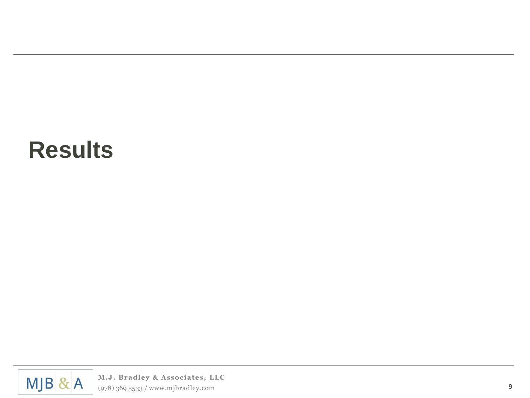# **Results**

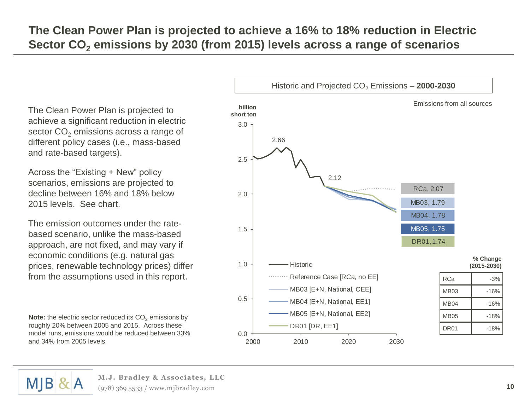#### **The Clean Power Plan is projected to achieve a 16% to 18% reduction in Electric Sector CO<sup>2</sup> emissions by 2030 (from 2015) levels across a range of scenarios**

The Clean Power Plan is projected to achieve a significant reduction in electric sector CO<sub>2</sub> emissions across a range of different policy cases (i.e., mass-based and rate-based targets).

Across the "Existing + New" policy scenarios, emissions are projected to decline between 16% and 18% below 2015 levels. See chart.

The emission outcomes under the ratebased scenario, unlike the mass-based approach, are not fixed, and may vary if economic conditions (e.g. natural gas prices, renewable technology prices) differ from the assumptions used in this report.

**Note:** the electric sector reduced its CO<sub>2</sub> emissions by roughly 20% between 2005 and 2015. Across these model runs, emissions would be reduced between 33% and 34% from 2005 levels.





**M.J. Bradley & Associates, LLC** (978) 369 5533 / www.mjbradley.com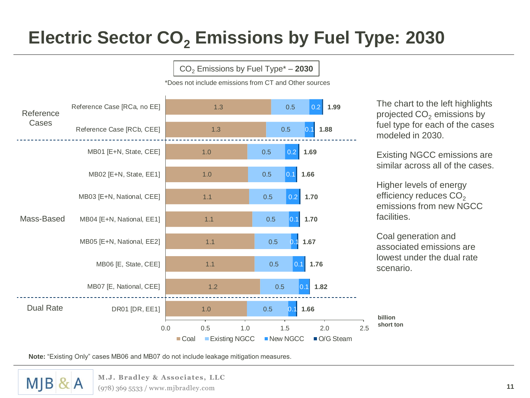# **Electric Sector CO<sup>2</sup> Emissions by Fuel Type: 2030**

CO<sup>2</sup> Emissions by Fuel Type\* – **2030**



\*Does not include emissions from CT and Other sources

**Note:** "Existing Only" cases MB06 and MB07 do not include leakage mitigation measures.

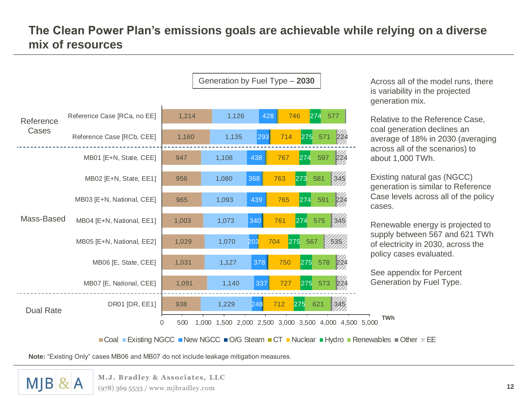#### **The Clean Power Plan's emissions goals are achievable while relying on a diverse mix of resources**



Across all of the model runs, there is variability in the projected generation mix.

Relative to the Reference Case, coal generation declines an average of 18% in 2030 (averaging across all of the scenarios) to about 1,000 TWh.

Existing natural gas (NGCC) generation is similar to Reference Case levels across all of the policy cases.

Renewable energy is projected to supply between 567 and 621 TWh of electricity in 2030, across the policy cases evaluated.

See appendix for Percent Generation by Fuel Type.

**TWh**

 $\blacksquare$ Coal  $\blacksquare$  Existing NGCC  $\blacksquare$  New NGCC  $\blacksquare$  O/G Steam  $\blacksquare$  CT  $\blacksquare$  Nuclear  $\blacksquare$  Hydro  $\blacksquare$  Renewables  $\blacksquare$  Other  $\mathscr D$  EE

**Note:** "Existing Only" cases MB06 and MB07 do not include leakage mitigation measures.

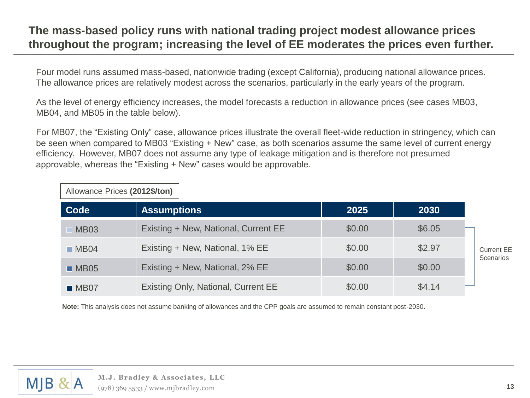#### **The mass-based policy runs with national trading project modest allowance prices throughout the program; increasing the level of EE moderates the prices even further.**

Four model runs assumed mass-based, nationwide trading (except California), producing national allowance prices. The allowance prices are relatively modest across the scenarios, particularly in the early years of the program.

As the level of energy efficiency increases, the model forecasts a reduction in allowance prices (see cases MB03, MB04, and MB05 in the table below).

For MB07, the "Existing Only" case, allowance prices illustrate the overall fleet-wide reduction in stringency, which can be seen when compared to MB03 "Existing + New" case, as both scenarios assume the same level of current energy efficiency. However, MB07 does not assume any type of leakage mitigation and is therefore not presumed approvable, whereas the "Existing + New" cases would be approvable.

| $F110W1110U1110U3$ (2012) |                                      |        |        |  |  |  |  |
|---------------------------|--------------------------------------|--------|--------|--|--|--|--|
| Code                      | <b>Assumptions</b>                   | 2025   | 2030   |  |  |  |  |
| $\blacksquare$ MB03       | Existing + New, National, Current EE | \$0.00 | \$6.05 |  |  |  |  |
| MBO4                      | Existing + New, National, 1% EE      | \$0.00 | \$2.97 |  |  |  |  |
| MBS                       | Existing + New, National, 2% EE      | \$0.00 | \$0.00 |  |  |  |  |
| MBO7                      | Existing Only, National, Current EE  | \$0.00 | \$4.14 |  |  |  |  |

**Note:** This analysis does not assume banking of allowances and the CPP goals are assumed to remain constant post-2030.



Allowance Prices **(2012\$/ton)**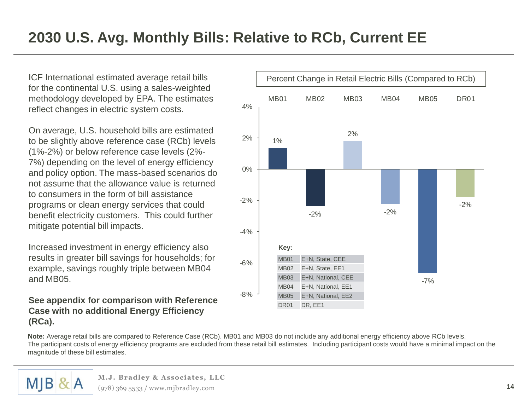ICF International estimated average retail bills for the continental U.S. using a sales-weighted methodology developed by EPA. The estimates reflect changes in electric system costs.

On average, U.S. household bills are estimated to be slightly above reference case (RCb) levels (1%-2%) or below reference case levels (2%- 7%) depending on the level of energy efficiency and policy option. The mass-based scenarios do not assume that the allowance value is returned to consumers in the form of bill assistance programs or clean energy services that could benefit electricity customers. This could further mitigate potential bill impacts.

Increased investment in energy efficiency also results in greater bill savings for households; for example, savings roughly triple between MB04 and MB05.

#### **See appendix for comparison with Reference Case with no additional Energy Efficiency (RCa).**



**Note:** Average retail bills are compared to Reference Case (RCb). MB01 and MB03 do not include any additional energy efficiency above RCb levels. The participant costs of energy efficiency programs are excluded from these retail bill estimates. Including participant costs would have a minimal impact on the magnitude of these bill estimates.

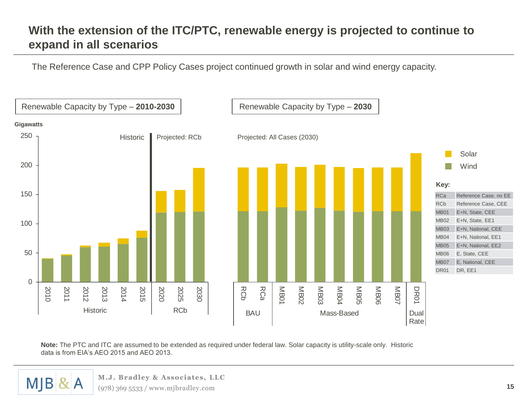#### **With the extension of the ITC/PTC, renewable energy is projected to continue to expand in all scenarios**

The Reference Case and CPP Policy Cases project continued growth in solar and wind energy capacity.



**Note:** The PTC and ITC are assumed to be extended as required under federal law. Solar capacity is utility-scale only. Historic data is from EIA's AEO 2015 and AEO 2013.



**M.J. Bradley & Associates, LLC**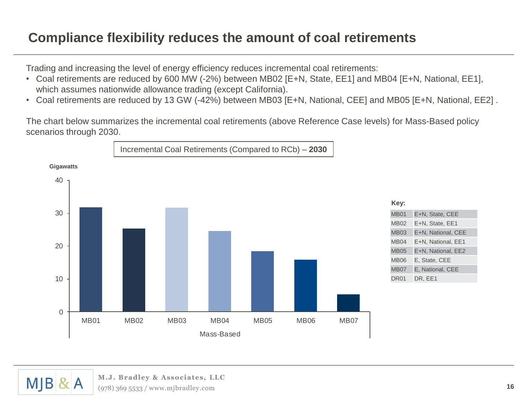#### **Compliance flexibility reduces the amount of coal retirements**

Trading and increasing the level of energy efficiency reduces incremental coal retirements:

- Coal retirements are reduced by 600 MW (-2%) between MB02 [E+N, State, EE1] and MB04 [E+N, National, EE1], which assumes nationwide allowance trading (except California).
- Coal retirements are reduced by 13 GW (-42%) between MB03 [E+N, National, CEE] and MB05 [E+N, National, EE2] .

The chart below summarizes the incremental coal retirements (above Reference Case levels) for Mass-Based policy scenarios through 2030.



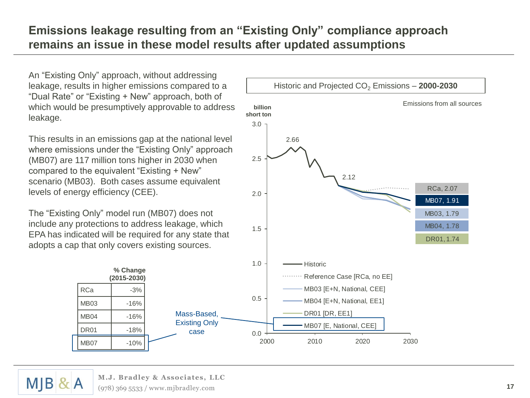#### **Emissions leakage resulting from an "Existing Only" compliance approach remains an issue in these model results after updated assumptions**

An "Existing Only" approach, without addressing leakage, results in higher emissions compared to a "Dual Rate" or "Existing + New" approach, both of which would be presumptively approvable to address leakage.

This results in an emissions gap at the national level where emissions under the "Existing Only" approach (MB07) are 117 million tons higher in 2030 when compared to the equivalent "Existing + New" scenario (MB03). Both cases assume equivalent levels of energy efficiency (CEE).

The "Existing Only" model run (MB07) does not include any protections to address leakage, which EPA has indicated will be required for any state that adopts a cap that only covers existing sources.





 $M|B|$  $\alpha$  A **M.J. Bradley & Associates, LLC** (978) 369 5533 / www.mjbradley.com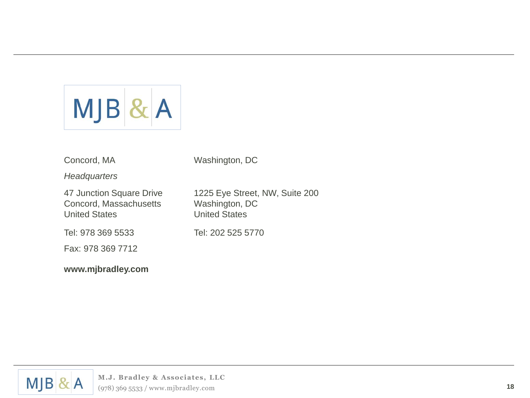

Concord, MA

Washington, DC

*Headquarters*

47 Junction Square Drive Concord, Massachusetts United States

Tel: 978 369 5533

Fax: 978 369 7712

**www.mjbradley.com**

1225 Eye Street, NW, Suite 200 Washington, DC United States

Tel: 202 525 5770

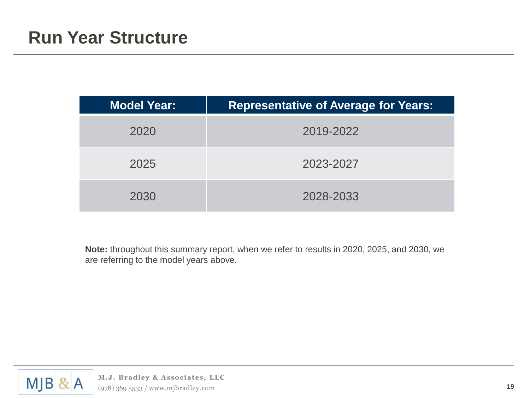| <b>Model Year:</b> | <b>Representative of Average for Years:</b> |
|--------------------|---------------------------------------------|
| 2020               | 2019-2022                                   |
| 2025               | 2023-2027                                   |
| 2030               | 2028-2033                                   |

**Note:** throughout this summary report, when we refer to results in 2020, 2025, and 2030, we are referring to the model years above.

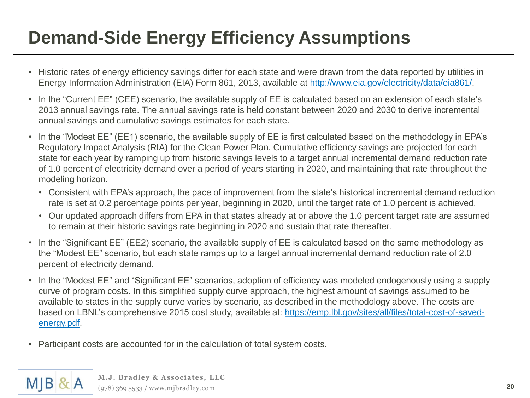# **Demand-Side Energy Efficiency Assumptions**

- Historic rates of energy efficiency savings differ for each state and were drawn from the data reported by utilities in Energy Information Administration (EIA) Form 861, 2013, available at<http://www.eia.gov/electricity/data/eia861/>.
- In the "Current EE" (CEE) scenario, the available supply of EE is calculated based on an extension of each state's 2013 annual savings rate. The annual savings rate is held constant between 2020 and 2030 to derive incremental annual savings and cumulative savings estimates for each state.
- In the "Modest EE" (EE1) scenario, the available supply of EE is first calculated based on the methodology in EPA's Regulatory Impact Analysis (RIA) for the Clean Power Plan. Cumulative efficiency savings are projected for each state for each year by ramping up from historic savings levels to a target annual incremental demand reduction rate of 1.0 percent of electricity demand over a period of years starting in 2020, and maintaining that rate throughout the modeling horizon.
	- Consistent with EPA's approach, the pace of improvement from the state's historical incremental demand reduction rate is set at 0.2 percentage points per year, beginning in 2020, until the target rate of 1.0 percent is achieved.
	- Our updated approach differs from EPA in that states already at or above the 1.0 percent target rate are assumed to remain at their historic savings rate beginning in 2020 and sustain that rate thereafter.
- In the "Significant EE" (EE2) scenario, the available supply of EE is calculated based on the same methodology as the "Modest EE" scenario, but each state ramps up to a target annual incremental demand reduction rate of 2.0 percent of electricity demand.
- In the "Modest EE" and "Significant EE" scenarios, adoption of efficiency was modeled endogenously using a supply curve of program costs. In this simplified supply curve approach, the highest amount of savings assumed to be available to states in the supply curve varies by scenario, as described in the methodology above. The costs are [based on LBNL's comprehensive 2015 cost study, available at: https://emp.lbl.gov/sites/all/files/total-cost-of-saved](https://emp.lbl.gov/sites/all/files/total-cost-of-saved-energy.pdf)energy.pdf.
- Participant costs are accounted for in the calculation of total system costs.

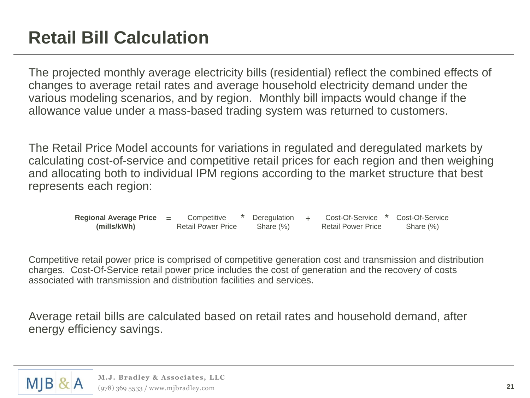The projected monthly average electricity bills (residential) reflect the combined effects of changes to average retail rates and average household electricity demand under the various modeling scenarios, and by region. Monthly bill impacts would change if the allowance value under a mass-based trading system was returned to customers.

The Retail Price Model accounts for variations in regulated and deregulated markets by calculating cost-of-service and competitive retail prices for each region and then weighing and allocating both to individual IPM regions according to the market structure that best represents each region:

| Regional Average Price $=$ | Competitive               | Deregulation | Cost-Of-Service           | Cost-Of-Service |
|----------------------------|---------------------------|--------------|---------------------------|-----------------|
| (mills/kWh)                | <b>Retail Power Price</b> | Share (%)    | <b>Retail Power Price</b> | Share (%)       |

Competitive retail power price is comprised of competitive generation cost and transmission and distribution charges. Cost-Of-Service retail power price includes the cost of generation and the recovery of costs associated with transmission and distribution facilities and services.

Average retail bills are calculated based on retail rates and household demand, after energy efficiency savings.

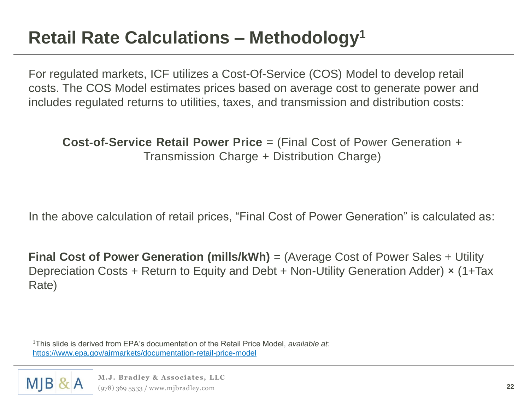# **Retail Rate Calculations – Methodology<sup>1</sup>**

For regulated markets, ICF utilizes a Cost-Of-Service (COS) Model to develop retail costs. The COS Model estimates prices based on average cost to generate power and includes regulated returns to utilities, taxes, and transmission and distribution costs:

**Cost**‐**of**‐**Service Retail Power Price** = (Final Cost of Power Generation + Transmission Charge + Distribution Charge)

In the above calculation of retail prices, "Final Cost of Power Generation" is calculated as:

**Final Cost of Power Generation (mills/kWh)** = (Average Cost of Power Sales + Utility Depreciation Costs + Return to Equity and Debt + Non-Utility Generation Adder) × (1+Tax Rate)

<sup>1</sup>This slide is derived from EPA's documentation of the Retail Price Model, *available at:* <https://www.epa.gov/airmarkets/documentation-retail-price-model>

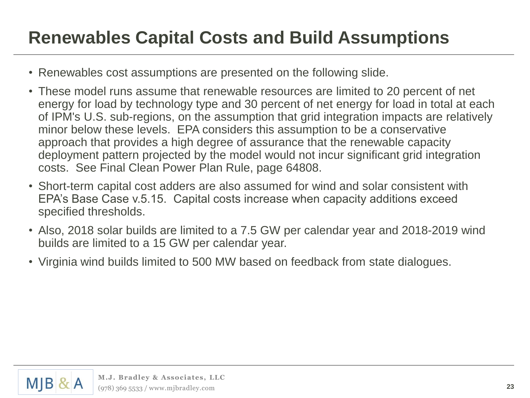# **Renewables Capital Costs and Build Assumptions**

- Renewables cost assumptions are presented on the following slide.
- These model runs assume that renewable resources are limited to 20 percent of net energy for load by technology type and 30 percent of net energy for load in total at each of IPM's U.S. sub-regions, on the assumption that grid integration impacts are relatively minor below these levels. EPA considers this assumption to be a conservative approach that provides a high degree of assurance that the renewable capacity deployment pattern projected by the model would not incur significant grid integration costs. See Final Clean Power Plan Rule, page 64808.
- Short-term capital cost adders are also assumed for wind and solar consistent with EPA's Base Case v.5.15. Capital costs increase when capacity additions exceed specified thresholds.
- Also, 2018 solar builds are limited to a 7.5 GW per calendar year and 2018-2019 wind builds are limited to a 15 GW per calendar year.
- Virginia wind builds limited to 500 MW based on feedback from state dialogues.

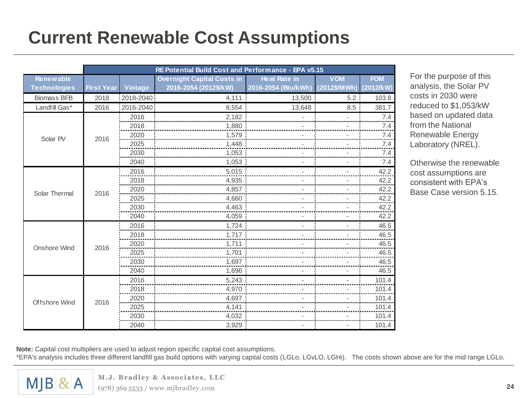# **Current Renewable Cost Assumptions**

|                      | RE Potential Build Cost and Performance - EPA v5.15 |           |                                   |                                                                                             |                |            |
|----------------------|-----------------------------------------------------|-----------|-----------------------------------|---------------------------------------------------------------------------------------------|----------------|------------|
| <b>Renewable</b>     |                                                     |           | <b>Overnight Capital Costs in</b> | <b>Heat Rate in</b>                                                                         | <b>VOM</b>     | <b>FOM</b> |
| <b>Technologies</b>  | <b>First Year</b>                                   | Vintage   | 2016-2054 (2012\$/kW)             | 2016-2054 (Btu/kWh)                                                                         | (2012\$/MWh)   | (2012/kW)  |
| <b>Biomass BFB</b>   | 2018                                                | 2018-2040 | 4,111                             | 13,500                                                                                      | 5.2            | 103.8      |
| Landfill Gas*        | 2016                                                | 2016-2040 | 8,554                             | 13,648                                                                                      | 8.5            | 381.7      |
|                      |                                                     | 2016      | 2,182                             |                                                                                             |                | 7.4        |
|                      |                                                     | 2018      |                                   |                                                                                             |                | 7.4        |
| Solar PV             | 2016                                                | 2020      | 1,579                             |                                                                                             |                | 7.4        |
|                      |                                                     | 2025      | 1.448                             |                                                                                             |                | 7.4        |
|                      |                                                     | 2030      | 1,053                             |                                                                                             |                | $7.4\,$    |
|                      |                                                     | 2040      |                                   |                                                                                             | $\overline{a}$ | 7.4        |
|                      |                                                     | 2016      | 5,015                             |                                                                                             |                | 42.2       |
|                      | 2016                                                | 2018      | 4,935                             |                                                                                             |                | 42.2       |
| Solar Thermal        |                                                     | 2020      | 4,857                             |                                                                                             |                | 42.2       |
|                      |                                                     | 2025      | 4,660                             |                                                                                             |                | 42.2       |
|                      |                                                     | 2030      | 4,463                             |                                                                                             |                | 42.2       |
|                      |                                                     | 2040      | 4,059                             |                                                                                             |                | 42.2       |
|                      |                                                     | 2016      |                                   |                                                                                             |                | 46.5       |
|                      |                                                     | 2018      | 1,717                             |                                                                                             |                | 46.5       |
| <b>Onshore Wind</b>  | 2016                                                | 2020      | 1.711                             |                                                                                             |                | 46.5       |
|                      |                                                     | 2025      | 1,701                             |                                                                                             |                | 46.5       |
|                      |                                                     | 2030      |                                   |                                                                                             |                | 46.5       |
|                      |                                                     | 2040      | 1,696                             | 1,880<br>1,053<br>1,724<br>1,697<br>٠<br>5,243<br>4,970<br>4,697<br>4,141<br>4,032<br>3,929 |                | 46.5       |
|                      |                                                     | 2016      |                                   |                                                                                             |                | 101.4      |
|                      |                                                     | 2018      |                                   |                                                                                             |                | 101.4      |
| <b>Offshore Wind</b> | 2016                                                | 2020      |                                   |                                                                                             |                | 101.4      |
|                      |                                                     | 2025      |                                   |                                                                                             |                | 101.4      |
|                      |                                                     | 2030      |                                   |                                                                                             |                | 101.4      |
|                      |                                                     | 2040      |                                   |                                                                                             |                | 101.4      |

For the purpose of this analysis, the Solar PV costs in 2030 were reduced to \$1,053/kW based on updated data from the National Renewable Energy Laboratory (NREL).

Otherwise the renewable cost assumptions are consistent with EPA's Base Case version 5.15.

**Note:** Capital cost multipliers are used to adjust region specific capital cost assumptions. \*EPA's analysis includes three different landfill gas build options with varying capital costs (LGLo, LGvLO, LGHi). The costs shown above are for the mid range LGLo.

 $M$ JB & A

**M.J. Bradley & Associates, LLC** (978) 369 5533 / www.mjbradley.com **24**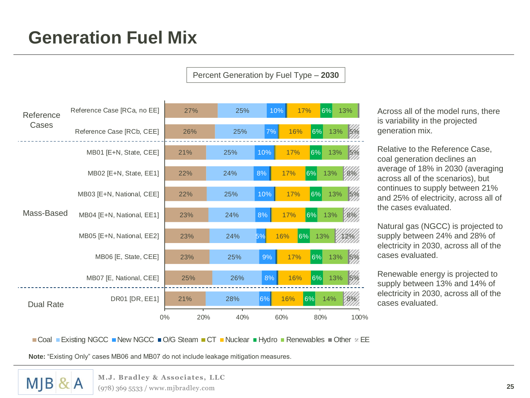## **Generation Fuel Mix**

Percent Generation by Fuel Type – **2030**



Across all of the model runs, there is variability in the projected generation mix.

Relative to the Reference Case, coal generation declines an average of 18% in 2030 (averaging across all of the scenarios), but continues to supply between 21% and 25% of electricity, across all of the cases evaluated.

Natural gas (NGCC) is projected to supply between 24% and 28% of electricity in 2030, across all of the cases evaluated.

Renewable energy is projected to supply between 13% and 14% of electricity in 2030, across all of the cases evaluated.

Coal Existing NGCC New NGCC  $\Box$  O/G Steam  $\Box$  CT  $\Box$  Nuclear  $\Box$  Hydro  $\Box$  Renewables  $\Box$  Other  $\alpha$  EE

**Note:** "Existing Only" cases MB06 and MB07 do not include leakage mitigation measures.

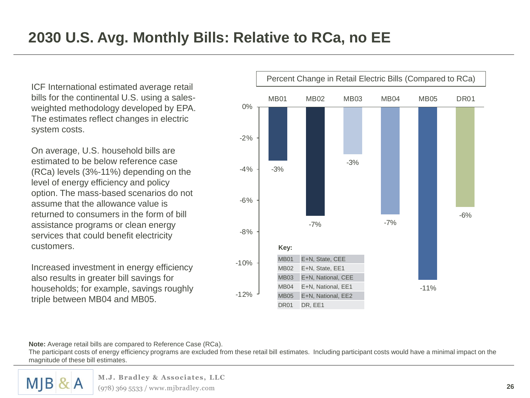ICF International estimated average retail bills for the continental U.S. using a salesweighted methodology developed by EPA. The estimates reflect changes in electric system costs.

On average, U.S. household bills are estimated to be below reference case (RCa) levels (3%-11%) depending on the level of energy efficiency and policy option. The mass-based scenarios do not assume that the allowance value is returned to consumers in the form of bill assistance programs or clean energy services that could benefit electricity customers.

Increased investment in energy efficiency also results in greater bill savings for households; for example, savings roughly triple between MB04 and MB05.



**Note:** Average retail bills are compared to Reference Case (RCa).

The participant costs of energy efficiency programs are excluded from these retail bill estimates. Including participant costs would have a minimal impact on the magnitude of these bill estimates.

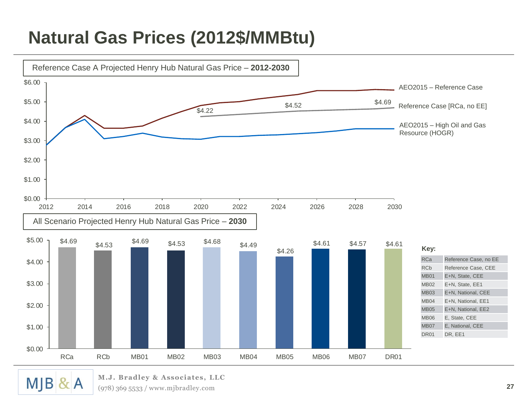## **Natural Gas Prices (2012\$/MMBtu)**



**M.J. Bradley & Associates, LLC**  $\propto$  A (978) 369 5533 / www.mjbradley.com

**MJB**